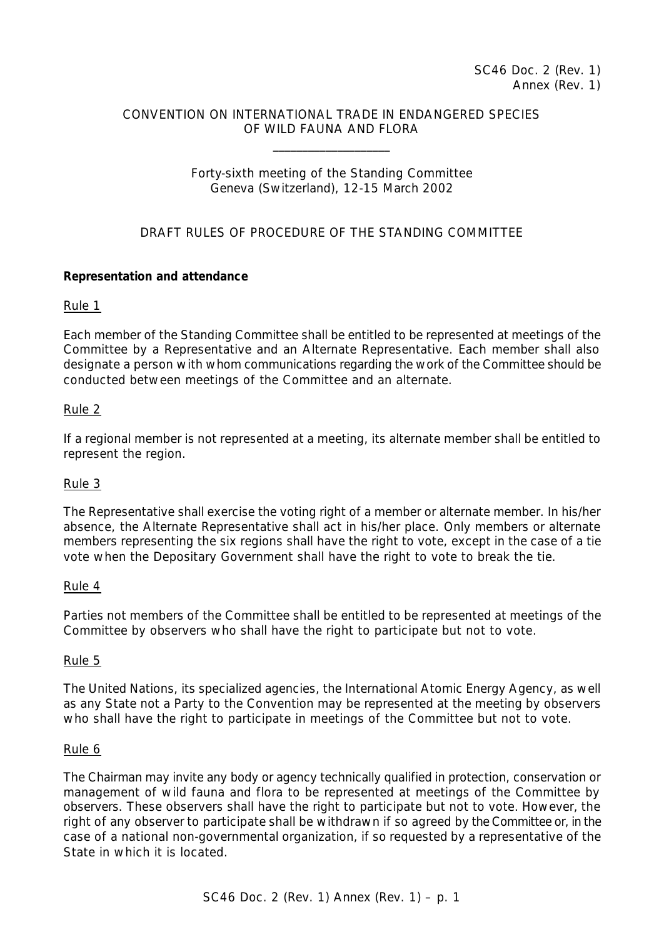# CONVENTION ON INTERNATIONAL TRADE IN ENDANGERED SPECIES OF WILD FAUNA AND FLORA

\_\_\_\_\_\_\_\_\_\_\_\_\_\_\_\_\_\_\_\_

## Forty-sixth meeting of the Standing Committee Geneva (Switzerland), 12-15 March 2002

# DRAFT RULES OF PROCEDURE OF THE STANDING COMMITTEE

## **Representation and attendance**

### Rule 1

Each member of the Standing Committee shall be entitled to be represented at meetings of the Committee by a Representative and an Alternate Representative. Each member shall also designate a person with whom communications regarding the work of the Committee should be conducted between meetings of the Committee and an alternate.

### Rule 2

If a regional member is not represented at a meeting, its alternate member shall be entitled to represent the region.

### Rule 3

The Representative shall exercise the voting right of a member or alternate member. In his/her absence, the Alternate Representative shall act in his/her place. Only members or alternate members representing the six regions shall have the right to vote, except in the case of a tie vote when the Depositary Government shall have the right to vote to break the tie.

### Rule 4

Parties not members of the Committee shall be entitled to be represented at meetings of the Committee by observers who shall have the right to participate but not to vote.

### Rule 5

The United Nations, its specialized agencies, the International Atomic Energy Agency, as well as any State not a Party to the Convention may be represented at the meeting by observers who shall have the right to participate in meetings of the Committee but not to vote.

### Rule 6

The Chairman may invite any body or agency technically qualified in protection, conservation or management of wild fauna and flora to be represented at meetings of the Committee by observers. These observers shall have the right to participate but not to vote. However, the right of any observer to participate shall be withdrawn if so agreed by the Committee or, in the case of a national non-governmental organization, if so requested by a representative of the State in which it is located.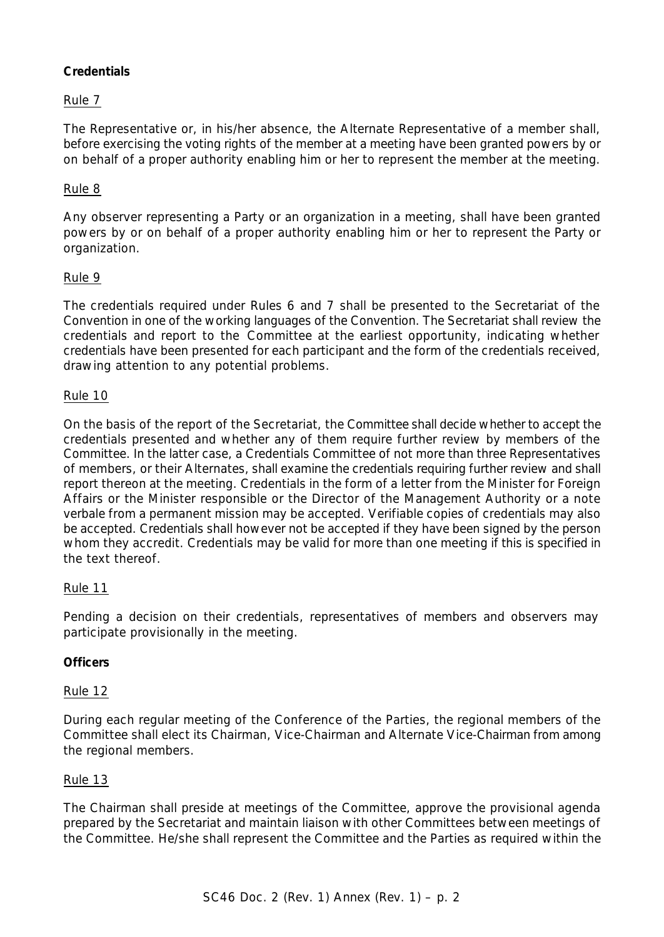# **Credentials**

# Rule 7

The Representative or, in his/her absence, the Alternate Representative of a member shall, before exercising the voting rights of the member at a meeting have been granted powers by or on behalf of a proper authority enabling him or her to represent the member at the meeting.

# Rule 8

Any observer representing a Party or an organization in a meeting, shall have been granted powers by or on behalf of a proper authority enabling him or her to represent the Party or organization.

# Rule 9

The credentials required under Rules 6 and 7 shall be presented to the Secretariat of the Convention in one of the working languages of the Convention. The Secretariat shall review the credentials and report to the Committee at the earliest opportunity, indicating whether credentials have been presented for each participant and the form of the credentials received, drawing attention to any potential problems.

## Rule 10

On the basis of the report of the Secretariat, the Committee shall decide whether to accept the credentials presented and whether any of them require further review by members of the Committee. In the latter case, a Credentials Committee of not more than three Representatives of members, or their Alternates, shall examine the credentials requiring further review and shall report thereon at the meeting. Credentials in the form of a letter from the Minister for Foreign Affairs or the Minister responsible or the Director of the Management Authority or a *note verbale* from a permanent mission may be accepted. Verifiable copies of credentials may also be accepted. Credentials shall however not be accepted if they have been signed by the person whom they accredit. Credentials may be valid for more than one meeting if this is specified in the text thereof.

### Rule 11

Pending a decision on their credentials, representatives of members and observers may participate provisionally in the meeting.

# **Officers**

### Rule 12

During each regular meeting of the Conference of the Parties, the regional members of the Committee shall elect its Chairman, Vice-Chairman and Alternate Vice-Chairman from among the regional members.

### Rule 13

The Chairman shall preside at meetings of the Committee, approve the provisional agenda prepared by the Secretariat and maintain liaison with other Committees between meetings of the Committee. He/she shall represent the Committee and the Parties as required within the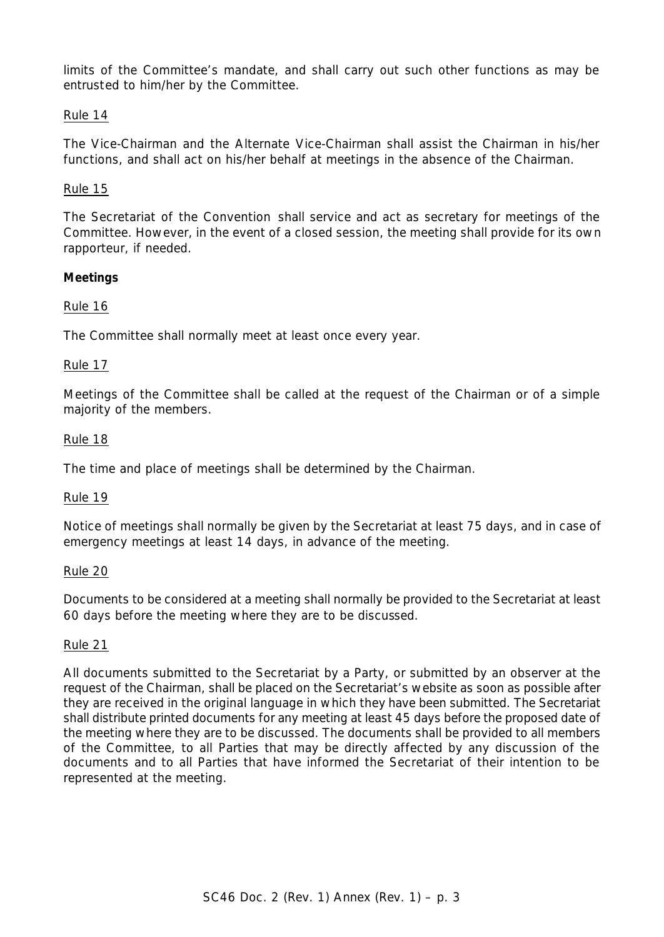limits of the Committee's mandate, and shall carry out such other functions as may be entrusted to him/her by the Committee.

## Rule 14

The Vice-Chairman and the Alternate Vice-Chairman shall assist the Chairman in his/her functions, and shall act on his/her behalf at meetings in the absence of the Chairman.

### Rule 15

The Secretariat of the Convention shall service and act as secretary for meetings of the Committee. However, in the event of a closed session, the meeting shall provide for its own rapporteur, if needed.

## **Meetings**

## Rule 16

The Committee shall normally meet at least once every year.

### Rule 17

Meetings of the Committee shall be called at the request of the Chairman or of a simple majority of the members.

### Rule 18

The time and place of meetings shall be determined by the Chairman.

### Rule 19

Notice of meetings shall normally be given by the Secretariat at least 75 days, and in case of emergency meetings at least 14 days, in advance of the meeting.

### Rule 20

Documents to be considered at a meeting shall normally be provided to the Secretariat at least 60 days before the meeting where they are to be discussed.

### Rule 21

All documents submitted to the Secretariat by a Party, or submitted by an observer at the request of the Chairman, shall be placed on the Secretariat's website as soon as possible after they are received in the original language in which they have been submitted. The Secretariat shall distribute printed documents for any meeting at least 45 days before the proposed date of the meeting where they are to be discussed. The documents shall be provided to all members of the Committee, to all Parties that may be directly affected by any discussion of the documents and to all Parties that have informed the Secretariat of their intention to be represented at the meeting.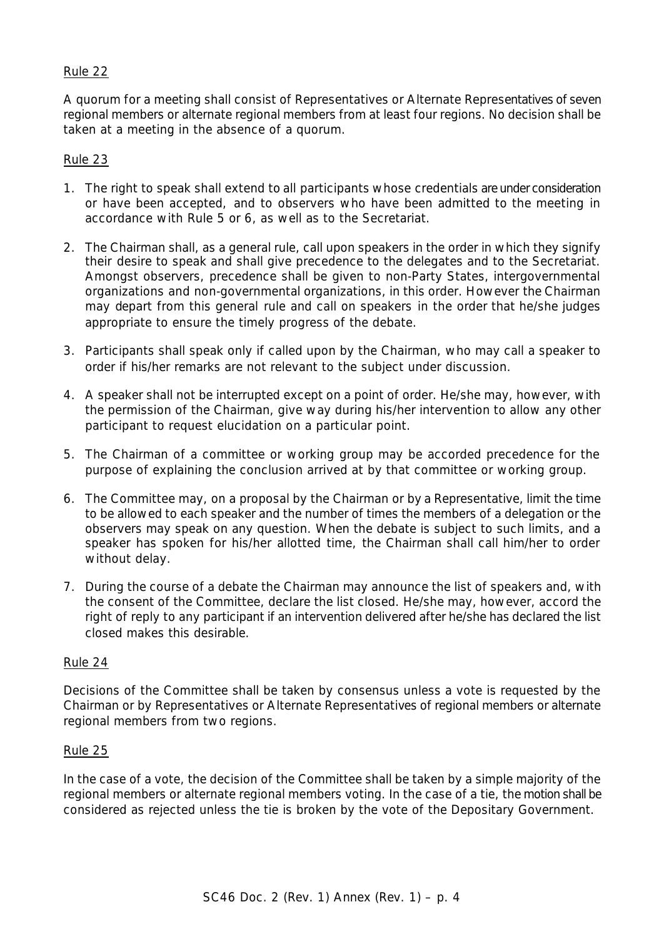## Rule 22

A quorum for a meeting shall consist of Representatives or Alternate Representatives of seven regional members or alternate regional members from at least four regions. No decision shall be taken at a meeting in the absence of a quorum.

### Rule 23

- 1. The right to speak shall extend to all participants whose credentials are under consideration or have been accepted, and to observers who have been admitted to the meeting in accordance with Rule 5 or 6, as well as to the Secretariat.
- 2. The Chairman shall, as a general rule, call upon speakers in the order in which they signify their desire to speak and shall give precedence to the delegates and to the Secretariat. Amongst observers, precedence shall be given to non-Party States, intergovernmental organizations and non-governmental organizations, in this order. However the Chairman may depart from this general rule and call on speakers in the order that he/she judges appropriate to ensure the timely progress of the debate.
- 3. Participants shall speak only if called upon by the Chairman, who may call a speaker to order if his/her remarks are not relevant to the subject under discussion.
- 4. A speaker shall not be interrupted except on a point of order. He/she may, however, with the permission of the Chairman, give way during his/her intervention to allow any other participant to request elucidation on a particular point.
- 5. The Chairman of a committee or working group may be accorded precedence for the purpose of explaining the conclusion arrived at by that committee or working group.
- 6. The Committee may, on a proposal by the Chairman or by a Representative, limit the time to be allowed to each speaker and the number of times the members of a delegation or the observers may speak on any question. When the debate is subject to such limits, and a speaker has spoken for his/her allotted time, the Chairman shall call him/her to order without delay.
- 7. During the course of a debate the Chairman may announce the list of speakers and, with the consent of the Committee, declare the list closed. He/she may, however, accord the right of reply to any participant if an intervention delivered after he/she has declared the list closed makes this desirable.

### Rule 24

Decisions of the Committee shall be taken by consensus unless a vote is requested by the Chairman or by Representatives or Alternate Representatives of regional members or alternate regional members from two regions.

### Rule 25

In the case of a vote, the decision of the Committee shall be taken by a simple majority of the regional members or alternate regional members voting. In the case of a tie, the motion shall be considered as rejected unless the tie is broken by the vote of the Depositary Government.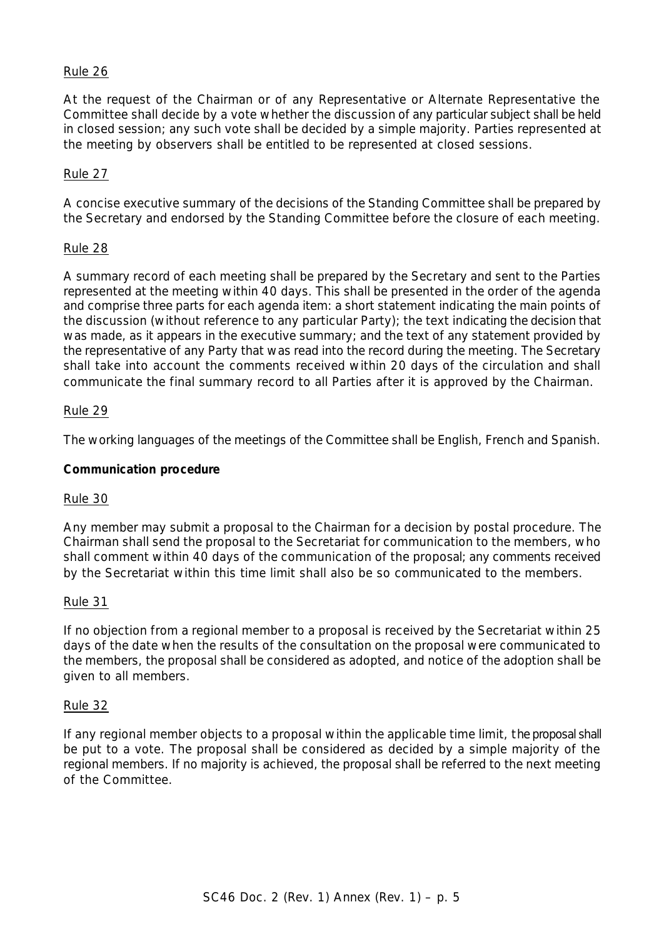### Rule 26

At the request of the Chairman or of any Representative or Alternate Representative the Committee shall decide by a vote whether the discussion of any particular subject shall be held in closed session; any such vote shall be decided by a simple majority. Parties represented at the meeting by observers shall be entitled to be represented at closed sessions.

#### Rule 27

A concise executive summary of the decisions of the Standing Committee shall be prepared by the Secretary and endorsed by the Standing Committee before the closure of each meeting.

#### Rule 28

A summary record of each meeting shall be prepared by the Secretary and sent to the Parties represented at the meeting within 40 days. This shall be presented in the order of the agenda and comprise three parts for each agenda item: a short statement indicating the main points of the discussion (without reference to any particular Party); the text indicating the decision that was made, as it appears in the executive summary; and the text of any statement provided by the representative of any Party that was read into the record during the meeting. The Secretary shall take into account the comments received within 20 days of the circulation and shall communicate the final summary record to all Parties after it is approved by the Chairman.

#### Rule 29

The working languages of the meetings of the Committee shall be English, French and Spanish.

#### **Communication procedure**

#### Rule 30

Any member may submit a proposal to the Chairman for a decision by postal procedure. The Chairman shall send the proposal to the Secretariat for communication to the members, who shall comment within 40 days of the communication of the proposal; any comments received by the Secretariat within this time limit shall also be so communicated to the members.

#### Rule 31

If no objection from a regional member to a proposal is received by the Secretariat within 25 days of the date when the results of the consultation on the proposal were communicated to the members, the proposal shall be considered as adopted, and notice of the adoption shall be given to all members.

#### Rule 32

If any regional member objects to a proposal within the applicable time limit, the proposal shall be put to a vote. The proposal shall be considered as decided by a simple majority of the regional members. If no majority is achieved, the proposal shall be referred to the next meeting of the Committee.